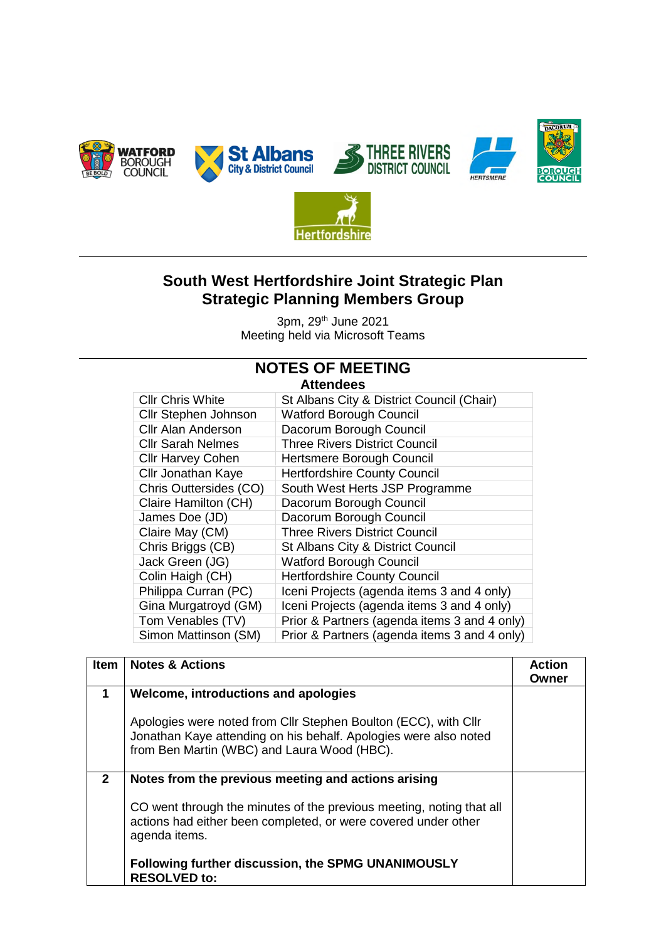



## **South West Hertfordshire Joint Strategic Plan Strategic Planning Members Group**

3pm, 29th June 2021 Meeting held via Microsoft Teams

## **NOTES OF MEETING**

**Attendees** 

| лцышысы                   |                                              |  |
|---------------------------|----------------------------------------------|--|
| <b>CIIr Chris White</b>   | St Albans City & District Council (Chair)    |  |
| Cllr Stephen Johnson      | <b>Watford Borough Council</b>               |  |
| <b>Cllr Alan Anderson</b> | Dacorum Borough Council                      |  |
| <b>Cllr Sarah Nelmes</b>  | <b>Three Rivers District Council</b>         |  |
| <b>Cllr Harvey Cohen</b>  | Hertsmere Borough Council                    |  |
| <b>Cllr Jonathan Kaye</b> | <b>Hertfordshire County Council</b>          |  |
| Chris Outtersides (CO)    | South West Herts JSP Programme               |  |
| Claire Hamilton (CH)      | Dacorum Borough Council                      |  |
| James Doe (JD)            | Dacorum Borough Council                      |  |
| Claire May (CM)           | <b>Three Rivers District Council</b>         |  |
| Chris Briggs (CB)         | St Albans City & District Council            |  |
| Jack Green (JG)           | <b>Watford Borough Council</b>               |  |
| Colin Haigh (CH)          | <b>Hertfordshire County Council</b>          |  |
| Philippa Curran (PC)      | Iceni Projects (agenda items 3 and 4 only)   |  |
| Gina Murgatroyd (GM)      | Iceni Projects (agenda items 3 and 4 only)   |  |
| Tom Venables (TV)         | Prior & Partners (agenda items 3 and 4 only) |  |
| Simon Mattinson (SM)      | Prior & Partners (agenda items 3 and 4 only) |  |
|                           |                                              |  |

| <b>Item</b>          | <b>Notes &amp; Actions</b>                                                                                                                                                         | <b>Action</b><br>Owner |
|----------------------|------------------------------------------------------------------------------------------------------------------------------------------------------------------------------------|------------------------|
| $\blacktriangleleft$ | Welcome, introductions and apologies                                                                                                                                               |                        |
|                      | Apologies were noted from Cllr Stephen Boulton (ECC), with Cllr<br>Jonathan Kaye attending on his behalf. Apologies were also noted<br>from Ben Martin (WBC) and Laura Wood (HBC). |                        |
| $\mathbf{2}$         | Notes from the previous meeting and actions arising                                                                                                                                |                        |
|                      | CO went through the minutes of the previous meeting, noting that all<br>actions had either been completed, or were covered under other<br>agenda items.                            |                        |
|                      | Following further discussion, the SPMG UNANIMOUSLY<br><b>RESOLVED to:</b>                                                                                                          |                        |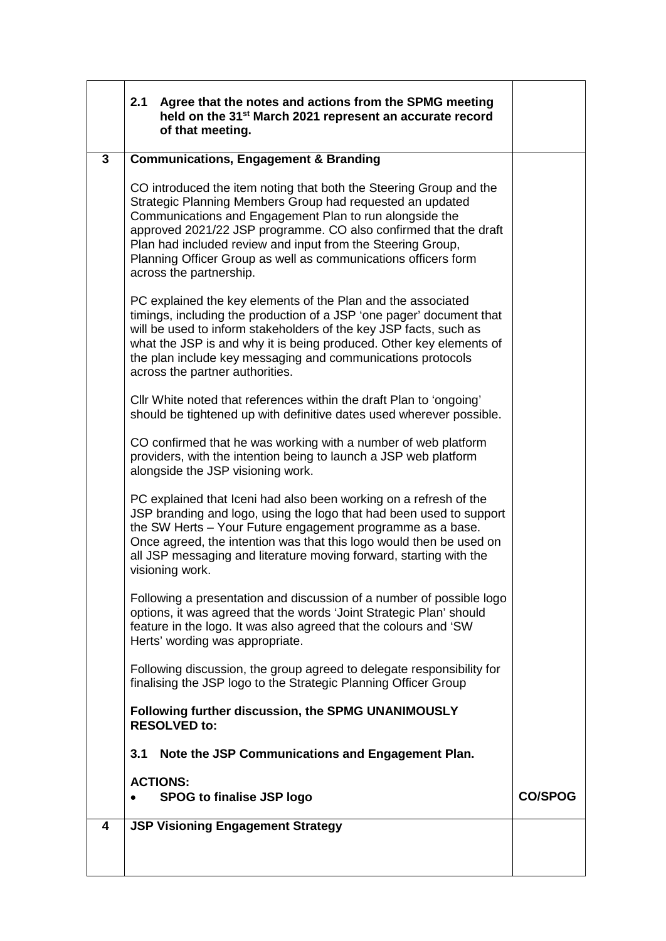|              | 2.1<br>Agree that the notes and actions from the SPMG meeting<br>held on the 31 <sup>st</sup> March 2021 represent an accurate record<br>of that meeting.                                                                                                                                                                                                                                                                  |                |
|--------------|----------------------------------------------------------------------------------------------------------------------------------------------------------------------------------------------------------------------------------------------------------------------------------------------------------------------------------------------------------------------------------------------------------------------------|----------------|
| $\mathbf{3}$ | <b>Communications, Engagement &amp; Branding</b>                                                                                                                                                                                                                                                                                                                                                                           |                |
|              | CO introduced the item noting that both the Steering Group and the<br>Strategic Planning Members Group had requested an updated<br>Communications and Engagement Plan to run alongside the<br>approved 2021/22 JSP programme. CO also confirmed that the draft<br>Plan had included review and input from the Steering Group,<br>Planning Officer Group as well as communications officers form<br>across the partnership. |                |
|              | PC explained the key elements of the Plan and the associated<br>timings, including the production of a JSP 'one pager' document that<br>will be used to inform stakeholders of the key JSP facts, such as<br>what the JSP is and why it is being produced. Other key elements of<br>the plan include key messaging and communications protocols<br>across the partner authorities.                                         |                |
|              | CIIr White noted that references within the draft Plan to 'ongoing'<br>should be tightened up with definitive dates used wherever possible.                                                                                                                                                                                                                                                                                |                |
|              | CO confirmed that he was working with a number of web platform<br>providers, with the intention being to launch a JSP web platform<br>alongside the JSP visioning work.                                                                                                                                                                                                                                                    |                |
|              | PC explained that Iceni had also been working on a refresh of the<br>JSP branding and logo, using the logo that had been used to support<br>the SW Herts - Your Future engagement programme as a base.<br>Once agreed, the intention was that this logo would then be used on<br>all JSP messaging and literature moving forward, starting with the<br>visioning work.                                                     |                |
|              | Following a presentation and discussion of a number of possible logo<br>options, it was agreed that the words 'Joint Strategic Plan' should<br>feature in the logo. It was also agreed that the colours and 'SW<br>Herts' wording was appropriate.                                                                                                                                                                         |                |
|              | Following discussion, the group agreed to delegate responsibility for<br>finalising the JSP logo to the Strategic Planning Officer Group                                                                                                                                                                                                                                                                                   |                |
|              | Following further discussion, the SPMG UNANIMOUSLY<br><b>RESOLVED to:</b>                                                                                                                                                                                                                                                                                                                                                  |                |
|              | Note the JSP Communications and Engagement Plan.<br>3.1                                                                                                                                                                                                                                                                                                                                                                    |                |
|              | <b>ACTIONS:</b><br><b>SPOG to finalise JSP logo</b>                                                                                                                                                                                                                                                                                                                                                                        | <b>CO/SPOG</b> |
| 4            | <b>JSP Visioning Engagement Strategy</b>                                                                                                                                                                                                                                                                                                                                                                                   |                |
|              |                                                                                                                                                                                                                                                                                                                                                                                                                            |                |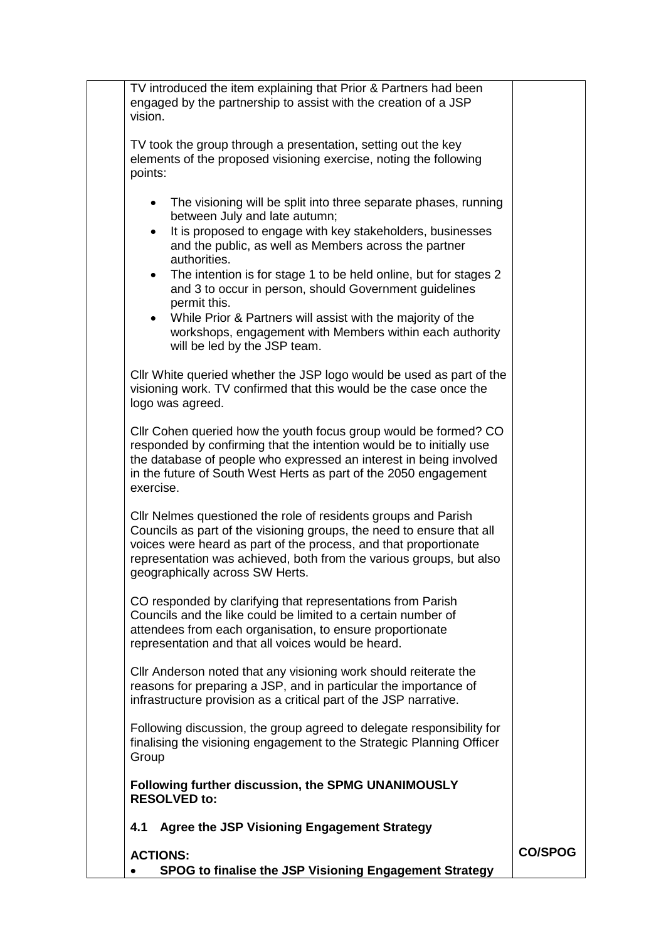| TV introduced the item explaining that Prior & Partners had been<br>engaged by the partnership to assist with the creation of a JSP<br>vision.                                                                                                                                                                                                                                                                                                                                                                                                                                            |                |
|-------------------------------------------------------------------------------------------------------------------------------------------------------------------------------------------------------------------------------------------------------------------------------------------------------------------------------------------------------------------------------------------------------------------------------------------------------------------------------------------------------------------------------------------------------------------------------------------|----------------|
| TV took the group through a presentation, setting out the key<br>elements of the proposed visioning exercise, noting the following<br>points:                                                                                                                                                                                                                                                                                                                                                                                                                                             |                |
| The visioning will be split into three separate phases, running<br>$\bullet$<br>between July and late autumn;<br>It is proposed to engage with key stakeholders, businesses<br>$\bullet$<br>and the public, as well as Members across the partner<br>authorities.<br>The intention is for stage 1 to be held online, but for stages 2<br>$\bullet$<br>and 3 to occur in person, should Government guidelines<br>permit this.<br>• While Prior & Partners will assist with the majority of the<br>workshops, engagement with Members within each authority<br>will be led by the JSP team. |                |
| Cllr White queried whether the JSP logo would be used as part of the<br>visioning work. TV confirmed that this would be the case once the<br>logo was agreed.                                                                                                                                                                                                                                                                                                                                                                                                                             |                |
| Cllr Cohen queried how the youth focus group would be formed? CO<br>responded by confirming that the intention would be to initially use<br>the database of people who expressed an interest in being involved<br>in the future of South West Herts as part of the 2050 engagement<br>exercise.                                                                                                                                                                                                                                                                                           |                |
| CIIr Nelmes questioned the role of residents groups and Parish<br>Councils as part of the visioning groups, the need to ensure that all<br>voices were heard as part of the process, and that proportionate<br>representation was achieved, both from the various groups, but also<br>geographically across SW Herts.                                                                                                                                                                                                                                                                     |                |
| CO responded by clarifying that representations from Parish<br>Councils and the like could be limited to a certain number of<br>attendees from each organisation, to ensure proportionate<br>representation and that all voices would be heard.                                                                                                                                                                                                                                                                                                                                           |                |
| CIIr Anderson noted that any visioning work should reiterate the<br>reasons for preparing a JSP, and in particular the importance of<br>infrastructure provision as a critical part of the JSP narrative.                                                                                                                                                                                                                                                                                                                                                                                 |                |
| Following discussion, the group agreed to delegate responsibility for<br>finalising the visioning engagement to the Strategic Planning Officer<br>Group                                                                                                                                                                                                                                                                                                                                                                                                                                   |                |
| Following further discussion, the SPMG UNANIMOUSLY<br><b>RESOLVED to:</b>                                                                                                                                                                                                                                                                                                                                                                                                                                                                                                                 |                |
| <b>Agree the JSP Visioning Engagement Strategy</b><br>4.1                                                                                                                                                                                                                                                                                                                                                                                                                                                                                                                                 |                |
| <b>ACTIONS:</b><br>SPOG to finalise the JSP Visioning Engagement Strategy                                                                                                                                                                                                                                                                                                                                                                                                                                                                                                                 | <b>CO/SPOG</b> |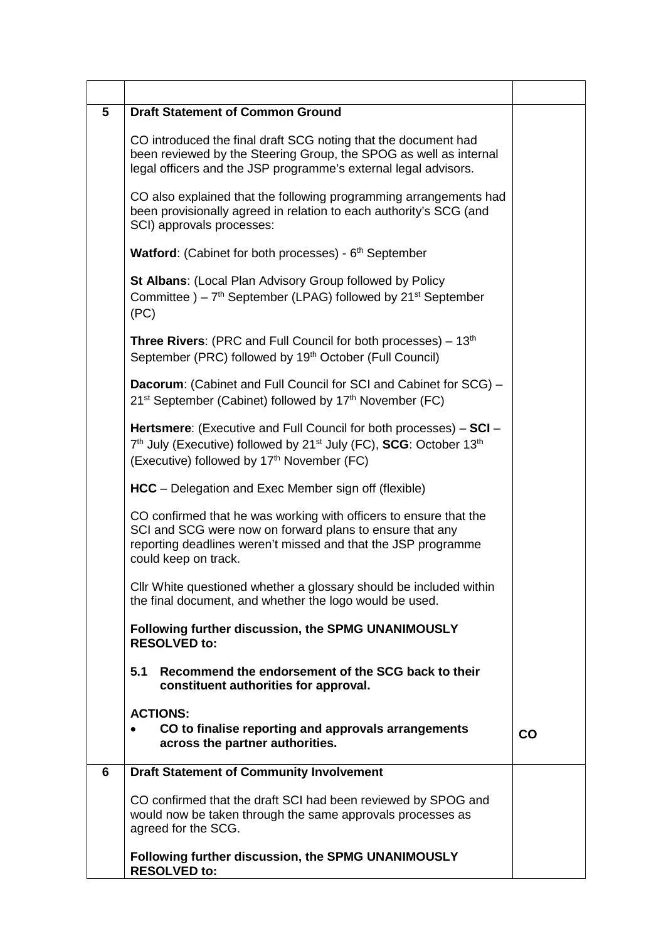| 5 | <b>Draft Statement of Common Ground</b>                                                                                                                                                                                                               |    |
|---|-------------------------------------------------------------------------------------------------------------------------------------------------------------------------------------------------------------------------------------------------------|----|
|   | CO introduced the final draft SCG noting that the document had<br>been reviewed by the Steering Group, the SPOG as well as internal<br>legal officers and the JSP programme's external legal advisors.                                                |    |
|   | CO also explained that the following programming arrangements had<br>been provisionally agreed in relation to each authority's SCG (and<br>SCI) approvals processes:                                                                                  |    |
|   | <b>Watford:</b> (Cabinet for both processes) - $6th$ September                                                                                                                                                                                        |    |
|   | St Albans: (Local Plan Advisory Group followed by Policy<br>Committee $-7$ <sup>th</sup> September (LPAG) followed by 21 <sup>st</sup> September<br>(PC)                                                                                              |    |
|   | <b>Three Rivers:</b> (PRC and Full Council for both processes) $-13th$<br>September (PRC) followed by 19 <sup>th</sup> October (Full Council)                                                                                                         |    |
|   | <b>Dacorum:</b> (Cabinet and Full Council for SCI and Cabinet for SCG) -<br>21 <sup>st</sup> September (Cabinet) followed by 17 <sup>th</sup> November (FC)                                                                                           |    |
|   | <b>Hertsmere:</b> (Executive and Full Council for both processes) – SCI –<br>7 <sup>th</sup> July (Executive) followed by 21 <sup>st</sup> July (FC), <b>SCG</b> : October 13 <sup>th</sup><br>(Executive) followed by 17 <sup>th</sup> November (FC) |    |
|   | <b>HCC</b> – Delegation and Exec Member sign off (flexible)                                                                                                                                                                                           |    |
|   | CO confirmed that he was working with officers to ensure that the<br>SCI and SCG were now on forward plans to ensure that any<br>reporting deadlines weren't missed and that the JSP programme<br>could keep on track.                                |    |
|   | Cllr White questioned whether a glossary should be included within<br>the final document, and whether the logo would be used.                                                                                                                         |    |
|   | Following further discussion, the SPMG UNANIMOUSLY<br><b>RESOLVED to:</b>                                                                                                                                                                             |    |
|   | 5.1<br>Recommend the endorsement of the SCG back to their<br>constituent authorities for approval.                                                                                                                                                    |    |
|   | <b>ACTIONS:</b>                                                                                                                                                                                                                                       |    |
|   | CO to finalise reporting and approvals arrangements<br>across the partner authorities.                                                                                                                                                                | CO |
| 6 | <b>Draft Statement of Community Involvement</b>                                                                                                                                                                                                       |    |
|   | CO confirmed that the draft SCI had been reviewed by SPOG and<br>would now be taken through the same approvals processes as<br>agreed for the SCG.                                                                                                    |    |
|   | Following further discussion, the SPMG UNANIMOUSLY<br><b>RESOLVED to:</b>                                                                                                                                                                             |    |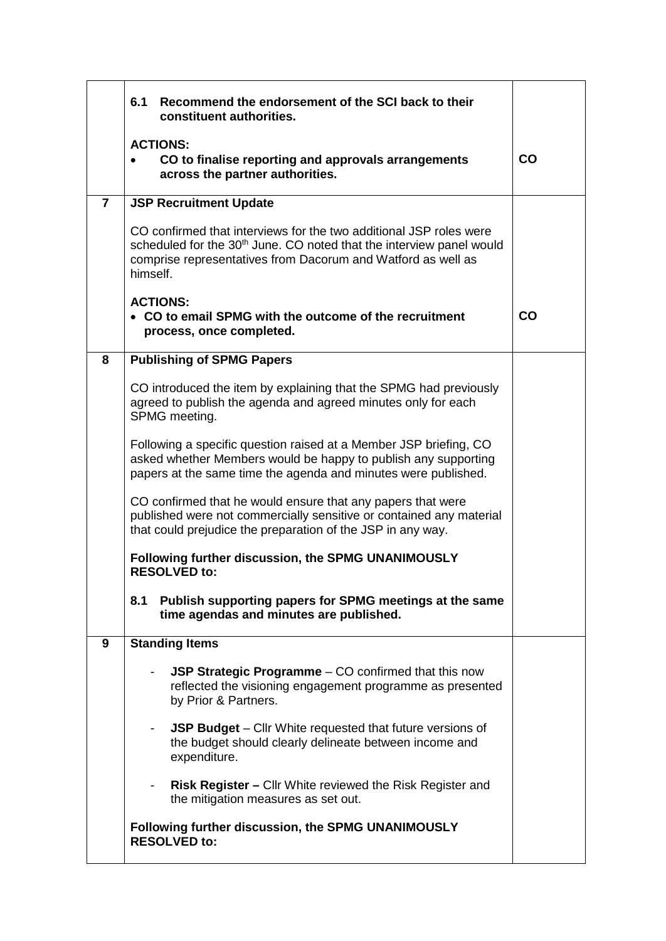|                | 6.1<br>Recommend the endorsement of the SCI back to their<br>constituent authorities.                                                                                                                                              |           |
|----------------|------------------------------------------------------------------------------------------------------------------------------------------------------------------------------------------------------------------------------------|-----------|
|                | <b>ACTIONS:</b><br>CO to finalise reporting and approvals arrangements<br>across the partner authorities.                                                                                                                          | CO        |
| $\overline{7}$ | <b>JSP Recruitment Update</b>                                                                                                                                                                                                      |           |
|                | CO confirmed that interviews for the two additional JSP roles were<br>scheduled for the 30 <sup>th</sup> June. CO noted that the interview panel would<br>comprise representatives from Dacorum and Watford as well as<br>himself. |           |
|                | <b>ACTIONS:</b><br>• CO to email SPMG with the outcome of the recruitment<br>process, once completed.                                                                                                                              | <b>CO</b> |
| 8              | <b>Publishing of SPMG Papers</b>                                                                                                                                                                                                   |           |
|                | CO introduced the item by explaining that the SPMG had previously<br>agreed to publish the agenda and agreed minutes only for each<br>SPMG meeting.                                                                                |           |
|                | Following a specific question raised at a Member JSP briefing, CO<br>asked whether Members would be happy to publish any supporting<br>papers at the same time the agenda and minutes were published.                              |           |
|                | CO confirmed that he would ensure that any papers that were<br>published were not commercially sensitive or contained any material<br>that could prejudice the preparation of the JSP in any way.                                  |           |
|                | Following further discussion, the SPMG UNANIMOUSLY<br><b>RESOLVED to:</b>                                                                                                                                                          |           |
|                | Publish supporting papers for SPMG meetings at the same<br>8.1<br>time agendas and minutes are published.                                                                                                                          |           |
| 9              | <b>Standing Items</b>                                                                                                                                                                                                              |           |
|                | JSP Strategic Programme – CO confirmed that this now<br>reflected the visioning engagement programme as presented<br>by Prior & Partners.                                                                                          |           |
|                | <b>JSP Budget</b> – Cllr White requested that future versions of<br>the budget should clearly delineate between income and<br>expenditure.                                                                                         |           |
|                | <b>Risk Register – Cllr White reviewed the Risk Register and</b><br>the mitigation measures as set out.                                                                                                                            |           |
|                | Following further discussion, the SPMG UNANIMOUSLY<br><b>RESOLVED to:</b>                                                                                                                                                          |           |